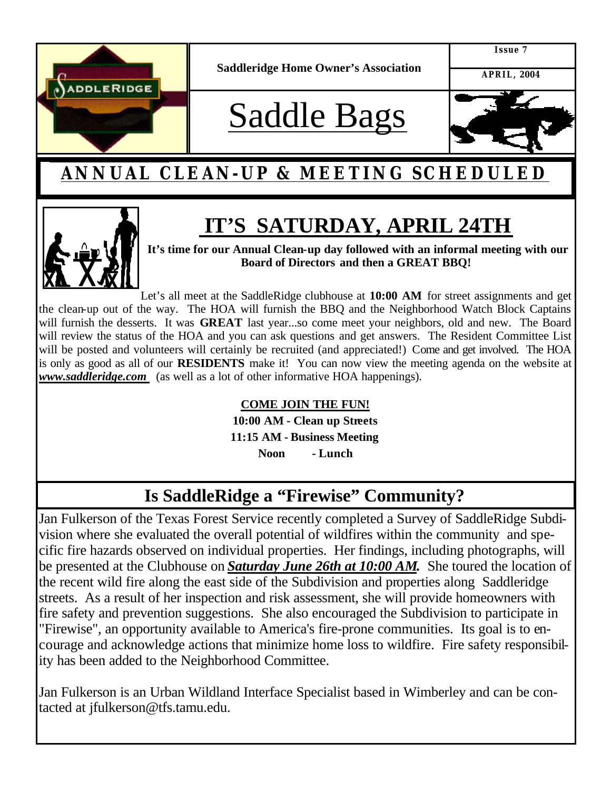

**Saddleridge Home Owner's Association**

**Issue 7**

**APRIL, 2004**

# Saddle Bags



### **ANNUAL CLEAN-UP & MEETING SCHEDULED**

## **IT'S SATURDAY, APRIL 24TH**



**It's time for our Annual Clean-up day followed with an informal meeting with our Board of Directors and then a GREAT BBQ!** 

Let's all meet at the SaddleRidge clubhouse at **10:00 AM** for street assignments and get the clean-up out of the way. The HOA will furnish the BBQ and the Neighborhood Watch Block Captains will furnish the desserts. It was **GREAT** last year...so come meet your neighbors, old and new. The Board will review the status of the HOA and you can ask questions and get answers. The Resident Committee List will be posted and volunteers will certainly be recruited (and appreciated!) Come and get involved. The HOA is only as good as all of our **RESIDENTS** make it! You can now view the meeting agenda on the website at *www.saddleridge.com* (as well as a lot of other informative HOA happenings).

#### **COME JOIN THE FUN!**

**10:00 AM - Clean up Streets 11:15 AM - Business Meeting**

**Noon - Lunch**

#### **Is SaddleRidge a "Firewise" Community?**

Jan Fulkerson of the Texas Forest Service recently completed a Survey of SaddleRidge Subdivision where she evaluated the overall potential of wildfires within the community and specific fire hazards observed on individual properties. Her findings, including photographs, will be presented at the Clubhouse on *Saturday June 26th at 10:00 AM.* She toured the location of the recent wild fire along the east side of the Subdivision and properties along Saddleridge streets. As a result of her inspection and risk assessment, she will provide homeowners with fire safety and prevention suggestions. She also encouraged the Subdivision to participate in "Firewise", an opportunity available to America's fire-prone communities. Its goal is to encourage and acknowledge actions that minimize home loss to wildfire. Fire safety responsibility has been added to the Neighborhood Committee.

Jan Fulkerson is an Urban Wildland Interface Specialist based in Wimberley and can be contacted at jfulkerson@tfs.tamu.edu.